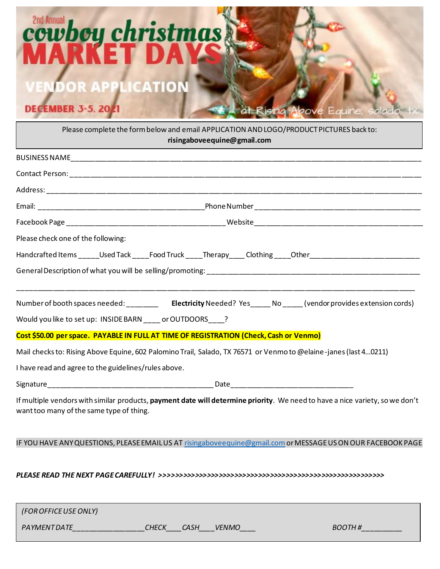

Please complete the form below and email APPLICATION AND LOGO/PRODUCT PICTURES back to: **risingaboveequine@gmail.com**

| Please check one of the following:                                                                                                                                       |  |  |  |
|--------------------------------------------------------------------------------------------------------------------------------------------------------------------------|--|--|--|
| Handcrafted Items _____Used Tack ____Food Truck ____Therapy ____ Clothing ____Other __________________________                                                           |  |  |  |
|                                                                                                                                                                          |  |  |  |
|                                                                                                                                                                          |  |  |  |
| Would you like to set up: INSIDE BARN ____ or OUTDOORS ____?                                                                                                             |  |  |  |
| Cost \$50.00 per space. PAYABLE IN FULL AT TIME OF REGISTRATION (Check, Cash or Venmo)                                                                                   |  |  |  |
| Mail checks to: Rising Above Equine, 602 Palomino Trail, Salado, TX 76571 or Venmo to @elaine-janes (last 40211)                                                         |  |  |  |
| I have read and agree to the guidelines/rules above.                                                                                                                     |  |  |  |
|                                                                                                                                                                          |  |  |  |
| If multiple vendors with similar products, payment date will determine priority. We need to have a nice variety, so we don't<br>want too many of the same type of thing. |  |  |  |
| IF YOU HAVE ANY QUESTIONS, PLEASE EMAIL US AT risingabove equine@gmail.com or MESSAGE US ON OUR FACEBOOK PAGE                                                            |  |  |  |
|                                                                                                                                                                          |  |  |  |

| (FOR OFFICE USE ONLY) |                               |               |
|-----------------------|-------------------------------|---------------|
| PAYMENT DATE          | СНЕСК<br>CASH<br><b>VENMO</b> | <i>BOOTH#</i> |